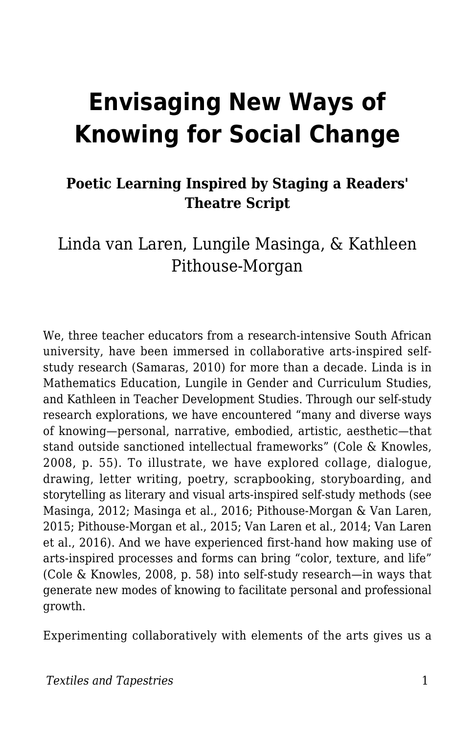# **Envisaging New Ways of Knowing for Social Change**

#### **Poetic Learning Inspired by Staging a Readers' Theatre Script**

#### Linda van Laren, Lungile Masinga, & Kathleen Pithouse-Morgan

We, three teacher educators from a research-intensive South African university, have been immersed in collaborative arts-inspired selfstudy research (Samaras, 2010) for more than a decade. Linda is in Mathematics Education, Lungile in Gender and Curriculum Studies, and Kathleen in Teacher Development Studies. Through our self-study research explorations, we have encountered "many and diverse ways of knowing—personal, narrative, embodied, artistic, aesthetic—that stand outside sanctioned intellectual frameworks" (Cole & Knowles, 2008, p. 55). To illustrate, we have explored collage, dialogue, drawing, letter writing, poetry, scrapbooking, storyboarding, and storytelling as literary and visual arts-inspired self-study methods (see Masinga, 2012; Masinga et al., 2016; Pithouse-Morgan & Van Laren, 2015; Pithouse-Morgan et al., 2015; Van Laren et al., 2014; Van Laren et al., 2016). And we have experienced first-hand how making use of arts-inspired processes and forms can bring "color, texture, and life" (Cole & Knowles, 2008, p. 58) into self-study research—in ways that generate new modes of knowing to facilitate personal and professional growth.

Experimenting collaboratively with elements of the arts gives us a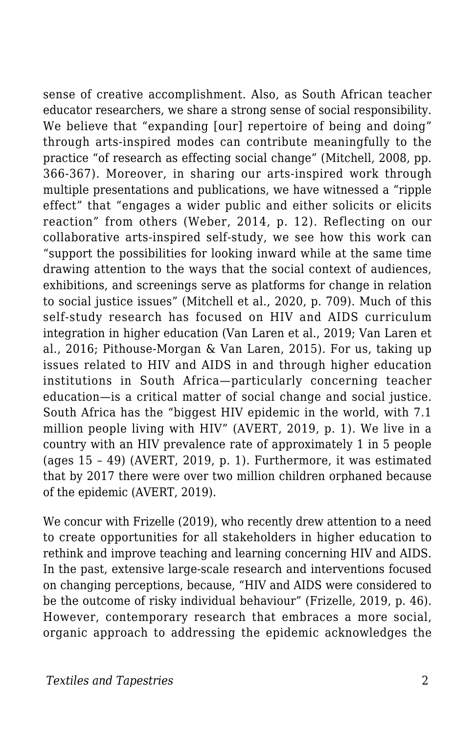sense of creative accomplishment. Also, as South African teacher educator researchers, we share a strong sense of social responsibility. We believe that "expanding [our] repertoire of being and doing" through arts-inspired modes can contribute meaningfully to the practice "of research as effecting social change" (Mitchell, 2008, pp. 366-367). Moreover, in sharing our arts-inspired work through multiple presentations and publications, we have witnessed a "ripple effect" that "engages a wider public and either solicits or elicits reaction" from others (Weber, 2014, p. 12). Reflecting on our collaborative arts-inspired self-study, we see how this work can "support the possibilities for looking inward while at the same time drawing attention to the ways that the social context of audiences, exhibitions, and screenings serve as platforms for change in relation to social justice issues" (Mitchell et al., 2020, p. 709). Much of this self-study research has focused on HIV and AIDS curriculum integration in higher education (Van Laren et al., 2019; Van Laren et al., 2016; Pithouse-Morgan & Van Laren, 2015). For us, taking up issues related to HIV and AIDS in and through higher education institutions in South Africa—particularly concerning teacher education—is a critical matter of social change and social justice. South Africa has the "biggest HIV epidemic in the world, with 7.1 million people living with HIV" (AVERT, 2019, p. 1). We live in a country with an HIV prevalence rate of approximately 1 in 5 people (ages 15 – 49) (AVERT, 2019, p. 1). Furthermore, it was estimated that by 2017 there were over two million children orphaned because of the epidemic (AVERT, 2019).

We concur with Frizelle (2019), who recently drew attention to a need to create opportunities for all stakeholders in higher education to rethink and improve teaching and learning concerning HIV and AIDS. In the past, extensive large-scale research and interventions focused on changing perceptions, because, "HIV and AIDS were considered to be the outcome of risky individual behaviour" (Frizelle, 2019, p. 46). However, contemporary research that embraces a more social, organic approach to addressing the epidemic acknowledges the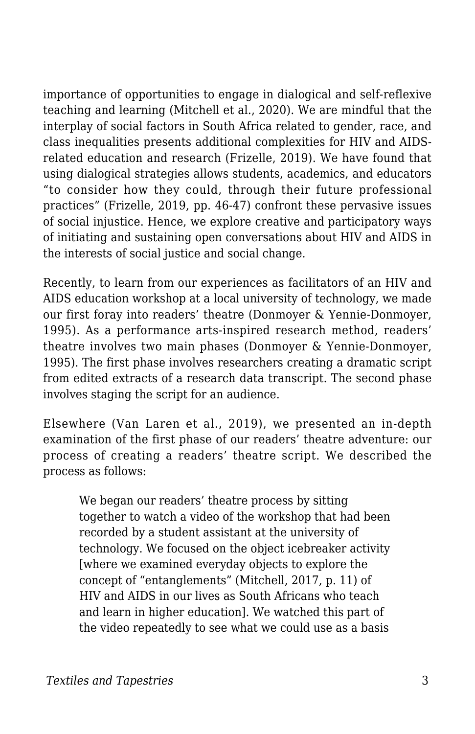importance of opportunities to engage in dialogical and self-reflexive teaching and learning (Mitchell et al., 2020). We are mindful that the interplay of social factors in South Africa related to gender, race, and class inequalities presents additional complexities for HIV and AIDSrelated education and research (Frizelle, 2019). We have found that using dialogical strategies allows students, academics, and educators "to consider how they could, through their future professional practices" (Frizelle, 2019, pp. 46-47) confront these pervasive issues of social injustice. Hence, we explore creative and participatory ways of initiating and sustaining open conversations about HIV and AIDS in the interests of social justice and social change.

Recently, to learn from our experiences as facilitators of an HIV and AIDS education workshop at a local university of technology, we made our first foray into readers' theatre (Donmoyer & Yennie-Donmoyer, 1995). As a performance arts-inspired research method, readers' theatre involves two main phases (Donmoyer & Yennie-Donmoyer, 1995). The first phase involves researchers creating a dramatic script from edited extracts of a research data transcript. The second phase involves staging the script for an audience.

Elsewhere (Van Laren et al., 2019), we presented an in-depth examination of the first phase of our readers' theatre adventure: our process of creating a readers' theatre script. We described the process as follows:

We began our readers' theatre process by sitting together to watch a video of the workshop that had been recorded by a student assistant at the university of technology. We focused on the object icebreaker activity [where we examined everyday objects to explore the concept of "entanglements" (Mitchell, 2017, p. 11) of HIV and AIDS in our lives as South Africans who teach and learn in higher education]. We watched this part of the video repeatedly to see what we could use as a basis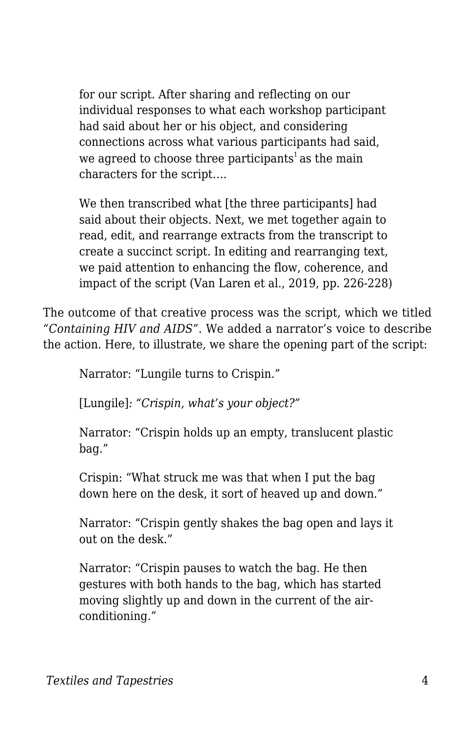for our script. After sharing and reflecting on our individual responses to what each workshop participant had said about her or his object, and considering connections across what various participants had said, we agreed to choose three participants<sup>1</sup> as the main characters for the script….

We then transcribed what [the three participants] had said about their objects. Next, we met together again to read, edit, and rearrange extracts from the transcript to create a succinct script. In editing and rearranging text, we paid attention to enhancing the flow, coherence, and impact of the script (Van Laren et al., 2019, pp. 226-228)

The outcome of that creative process was the script, which we titled *"Containing HIV and AIDS".* We added a narrator's voice to describe the action. Here, to illustrate, we share the opening part of the script:

Narrator: "Lungile turns to Crispin."

[Lungile]*: "Crispin, what's your object?"*

Narrator: "Crispin holds up an empty, translucent plastic bag."

Crispin: "What struck me was that when I put the bag down here on the desk, it sort of heaved up and down."

Narrator: "Crispin gently shakes the bag open and lays it out on the desk."

Narrator: "Crispin pauses to watch the bag. He then gestures with both hands to the bag, which has started moving slightly up and down in the current of the airconditioning."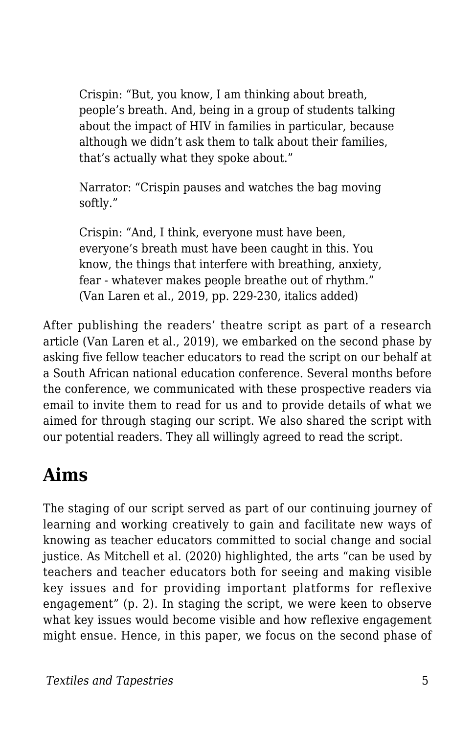Crispin: "But, you know, I am thinking about breath, people's breath. And, being in a group of students talking about the impact of HIV in families in particular, because although we didn't ask them to talk about their families, that's actually what they spoke about."

Narrator: "Crispin pauses and watches the bag moving softly."

Crispin: "And, I think, everyone must have been, everyone's breath must have been caught in this. You know, the things that interfere with breathing, anxiety, fear - whatever makes people breathe out of rhythm." (Van Laren et al., 2019, pp. 229-230, italics added)

After publishing the readers' theatre script as part of a research article (Van Laren et al., 2019), we embarked on the second phase by asking five fellow teacher educators to read the script on our behalf at a South African national education conference. Several months before the conference, we communicated with these prospective readers via email to invite them to read for us and to provide details of what we aimed for through staging our script. We also shared the script with our potential readers. They all willingly agreed to read the script.

## **Aims**

The staging of our script served as part of our continuing journey of learning and working creatively to gain and facilitate new ways of knowing as teacher educators committed to social change and social justice. As Mitchell et al. (2020) highlighted, the arts "can be used by teachers and teacher educators both for seeing and making visible key issues and for providing important platforms for reflexive engagement" (p. 2). In staging the script, we were keen to observe what key issues would become visible and how reflexive engagement might ensue. Hence, in this paper, we focus on the second phase of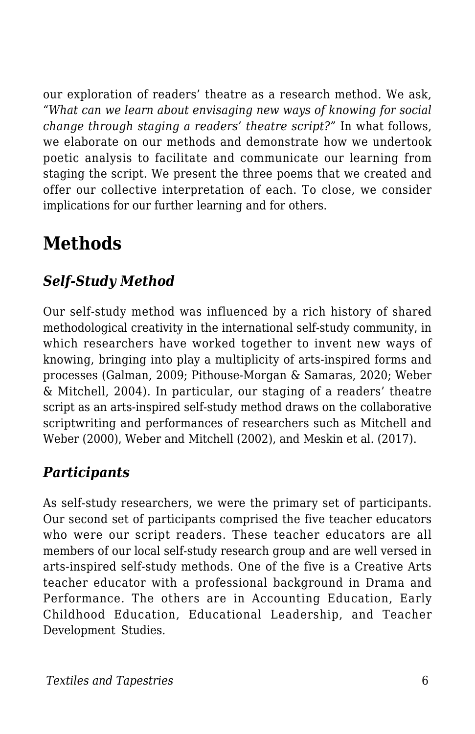our exploration of readers' theatre as a research method. We ask, *"What can we learn about envisaging new ways of knowing for social change through staging a readers' theatre script?"* In what follows, we elaborate on our methods and demonstrate how we undertook poetic analysis to facilitate and communicate our learning from staging the script. We present the three poems that we created and offer our collective interpretation of each. To close, we consider implications for our further learning and for others.

# **Methods**

#### *Self-Study Method*

Our self-study method was influenced by a rich history of shared methodological creativity in the international self-study community, in which researchers have worked together to invent new ways of knowing, bringing into play a multiplicity of arts-inspired forms and processes (Galman, 2009; Pithouse-Morgan & Samaras, 2020; Weber & Mitchell, 2004). In particular, our staging of a readers' theatre script as an arts-inspired self-study method draws on the collaborative scriptwriting and performances of researchers such as Mitchell and Weber (2000), Weber and Mitchell (2002), and Meskin et al. (2017).

#### *Participants*

As self-study researchers, we were the primary set of participants. Our second set of participants comprised the five teacher educators who were our script readers. These teacher educators are all members of our local self-study research group and are well versed in arts-inspired self-study methods. One of the five is a Creative Arts teacher educator with a professional background in Drama and Performance. The others are in Accounting Education, Early Childhood Education, Educational Leadership, and Teacher Development Studies.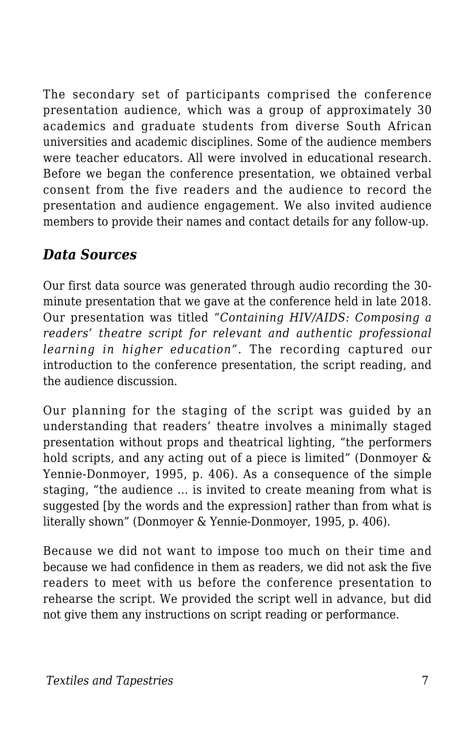The secondary set of participants comprised the conference presentation audience, which was a group of approximately 30 academics and graduate students from diverse South African universities and academic disciplines. Some of the audience members were teacher educators. All were involved in educational research. Before we began the conference presentation, we obtained verbal consent from the five readers and the audience to record the presentation and audience engagement. We also invited audience members to provide their names and contact details for any follow-up.

#### *Data Sources*

Our first data source was generated through audio recording the 30 minute presentation that we gave at the conference held in late 2018. Our presentation was titled "*Containing HIV/AIDS: Composing a readers' theatre script for relevant and authentic professional learning in higher education".* The recording captured our introduction to the conference presentation, the script reading, and the audience discussion.

Our planning for the staging of the script was guided by an understanding that readers' theatre involves a minimally staged presentation without props and theatrical lighting, "the performers hold scripts, and any acting out of a piece is limited" (Donmoyer & Yennie-Donmoyer, 1995, p. 406). As a consequence of the simple staging, "the audience … is invited to create meaning from what is suggested [by the words and the expression] rather than from what is literally shown" (Donmoyer & Yennie-Donmoyer, 1995, p. 406).

Because we did not want to impose too much on their time and because we had confidence in them as readers, we did not ask the five readers to meet with us before the conference presentation to rehearse the script. We provided the script well in advance, but did not give them any instructions on script reading or performance.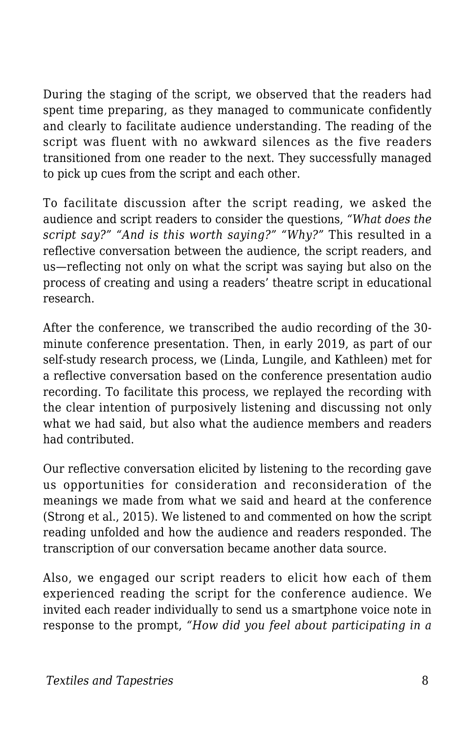During the staging of the script, we observed that the readers had spent time preparing, as they managed to communicate confidently and clearly to facilitate audience understanding. The reading of the script was fluent with no awkward silences as the five readers transitioned from one reader to the next. They successfully managed to pick up cues from the script and each other.

To facilitate discussion after the script reading, we asked the audience and script readers to consider the questions, *"What does the script say?" "And is this worth saying?" "Why?"* This resulted in a reflective conversation between the audience, the script readers, and us—reflecting not only on what the script was saying but also on the process of creating and using a readers' theatre script in educational research.

After the conference, we transcribed the audio recording of the 30 minute conference presentation. Then, in early 2019, as part of our self-study research process, we (Linda, Lungile, and Kathleen) met for a reflective conversation based on the conference presentation audio recording. To facilitate this process, we replayed the recording with the clear intention of purposively listening and discussing not only what we had said, but also what the audience members and readers had contributed.

Our reflective conversation elicited by listening to the recording gave us opportunities for consideration and reconsideration of the meanings we made from what we said and heard at the conference (Strong et al., 2015). We listened to and commented on how the script reading unfolded and how the audience and readers responded. The transcription of our conversation became another data source.

Also, we engaged our script readers to elicit how each of them experienced reading the script for the conference audience. We invited each reader individually to send us a smartphone voice note in response to the prompt, *"How did you feel about participating in a*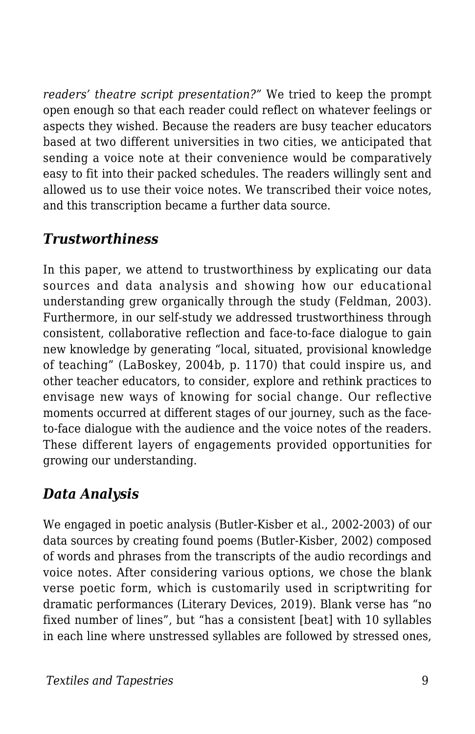*readers' theatre script presentation?"* We tried to keep the prompt open enough so that each reader could reflect on whatever feelings or aspects they wished. Because the readers are busy teacher educators based at two different universities in two cities, we anticipated that sending a voice note at their convenience would be comparatively easy to fit into their packed schedules. The readers willingly sent and allowed us to use their voice notes. We transcribed their voice notes, and this transcription became a further data source.

#### *Trustworthiness*

In this paper, we attend to trustworthiness by explicating our data sources and data analysis and showing how our educational understanding grew organically through the study (Feldman, 2003). Furthermore, in our self-study we addressed trustworthiness through consistent, collaborative reflection and face-to-face dialogue to gain new knowledge by generating "local, situated, provisional knowledge of teaching" (LaBoskey, 2004b, p. 1170) that could inspire us, and other teacher educators, to consider, explore and rethink practices to envisage new ways of knowing for social change. Our reflective moments occurred at different stages of our journey, such as the faceto-face dialogue with the audience and the voice notes of the readers. These different layers of engagements provided opportunities for growing our understanding.

#### *Data Analysis*

We engaged in poetic analysis (Butler-Kisber et al., 2002-2003) of our data sources by creating found poems (Butler-Kisber, 2002) composed of words and phrases from the transcripts of the audio recordings and voice notes. After considering various options, we chose the blank verse poetic form, which is customarily used in scriptwriting for dramatic performances (Literary Devices, 2019). Blank verse has "no fixed number of lines", but "has a consistent [beat] with 10 syllables in each line where unstressed syllables are followed by stressed ones,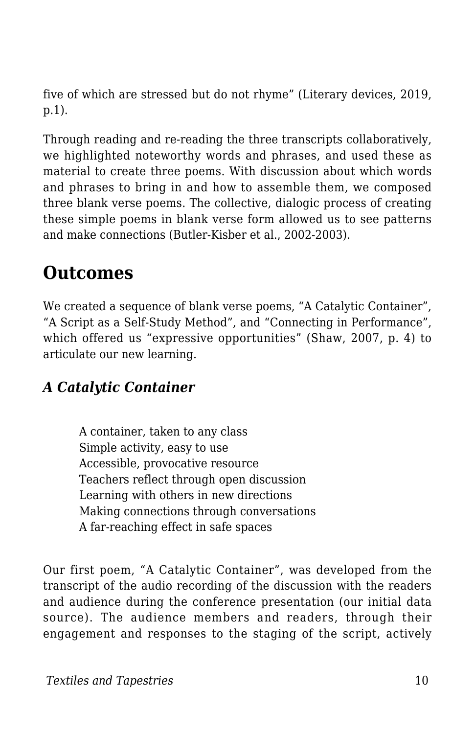five of which are stressed but do not rhyme" (Literary devices, 2019, p.1).

Through reading and re-reading the three transcripts collaboratively, we highlighted noteworthy words and phrases, and used these as material to create three poems. With discussion about which words and phrases to bring in and how to assemble them, we composed three blank verse poems. The collective, dialogic process of creating these simple poems in blank verse form allowed us to see patterns and make connections (Butler-Kisber et al., 2002-2003).

### **Outcomes**

We created a sequence of blank verse poems, "A Catalytic Container", "A Script as a Self-Study Method", and "Connecting in Performance", which offered us "expressive opportunities" (Shaw, 2007, p. 4) to articulate our new learning.

#### *A Catalytic Container*

A container, taken to any class Simple activity, easy to use Accessible, provocative resource Teachers reflect through open discussion Learning with others in new directions Making connections through conversations A far-reaching effect in safe spaces

Our first poem, "A Catalytic Container", was developed from the transcript of the audio recording of the discussion with the readers and audience during the conference presentation (our initial data source). The audience members and readers, through their engagement and responses to the staging of the script, actively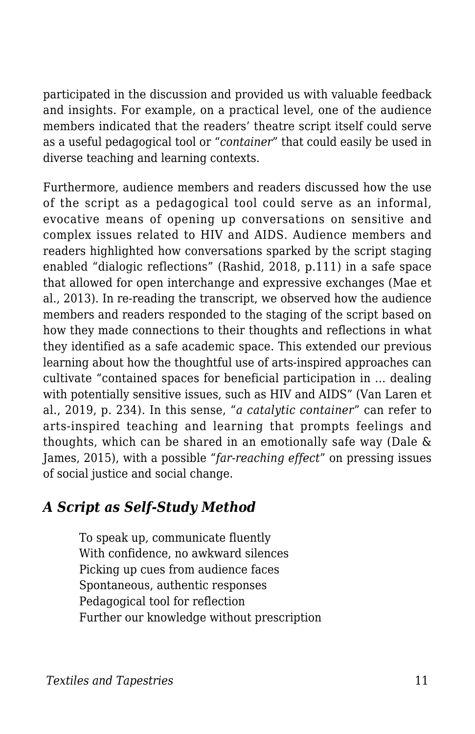participated in the discussion and provided us with valuable feedback and insights. For example, on a practical level, one of the audience members indicated that the readers' theatre script itself could serve as a useful pedagogical tool or "*container*" that could easily be used in diverse teaching and learning contexts.

Furthermore, audience members and readers discussed how the use of the script as a pedagogical tool could serve as an informal, evocative means of opening up conversations on sensitive and complex issues related to HIV and AIDS. Audience members and readers highlighted how conversations sparked by the script staging enabled "dialogic reflections" (Rashid, 2018, p.111) in a safe space that allowed for open interchange and expressive exchanges (Mae et al., 2013). In re-reading the transcript, we observed how the audience members and readers responded to the staging of the script based on how they made connections to their thoughts and reflections in what they identified as a safe academic space. This extended our previous learning about how the thoughtful use of arts-inspired approaches can cultivate "contained spaces for beneficial participation in … dealing with potentially sensitive issues, such as HIV and AIDS" (Van Laren et al., 2019, p. 234). In this sense, "*a catalytic container*" can refer to arts-inspired teaching and learning that prompts feelings and thoughts, which can be shared in an emotionally safe way (Dale & James, 2015), with a possible "*far-reaching effect*" on pressing issues of social justice and social change.

#### *A Script as Self-Study Method*

To speak up, communicate fluently With confidence, no awkward silences Picking up cues from audience faces Spontaneous, authentic responses Pedagogical tool for reflection Further our knowledge without prescription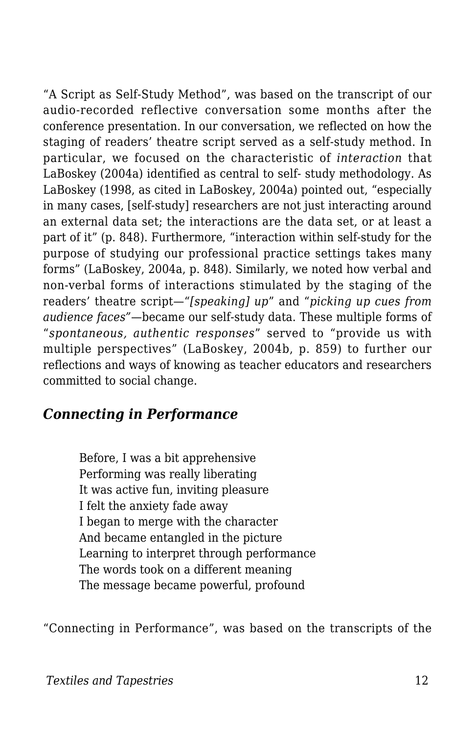"A Script as Self-Study Method", was based on the transcript of our audio-recorded reflective conversation some months after the conference presentation. In our conversation, we reflected on how the staging of readers' theatre script served as a self-study method. In particular, we focused on the characteristic of *interaction* that LaBoskey (2004a) identified as central to self- study methodology. As LaBoskey (1998, as cited in LaBoskey, 2004a) pointed out, "especially in many cases, [self-study] researchers are not just interacting around an external data set; the interactions are the data set, or at least a part of it" (p. 848). Furthermore, "interaction within self-study for the purpose of studying our professional practice settings takes many forms" (LaBoskey, 2004a, p. 848). Similarly, we noted how verbal and non-verbal forms of interactions stimulated by the staging of the readers' theatre script—"*[speaking] up*" and "*picking up cues from audience faces"*—became our self-study data. These multiple forms of "*spontaneous, authentic responses*" served to "provide us with multiple perspectives" (LaBoskey, 2004b, p. 859) to further our reflections and ways of knowing as teacher educators and researchers committed to social change.

#### *Connecting in Performance*

Before, I was a bit apprehensive Performing was really liberating It was active fun, inviting pleasure I felt the anxiety fade away I began to merge with the character And became entangled in the picture Learning to interpret through performance The words took on a different meaning The message became powerful, profound

"Connecting in Performance", was based on the transcripts of the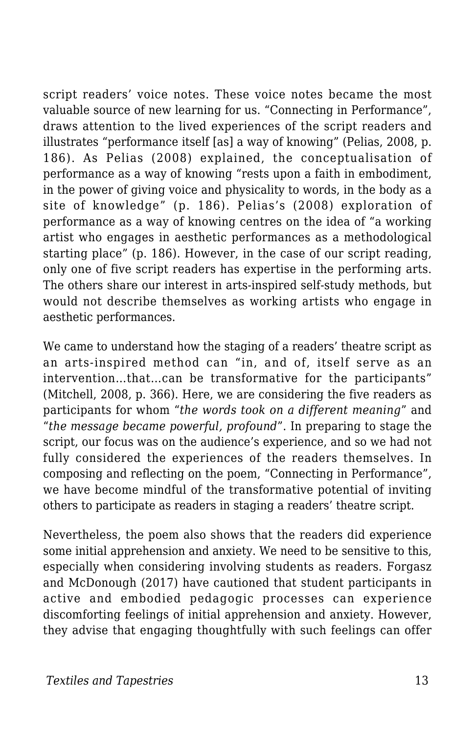script readers' voice notes. These voice notes became the most valuable source of new learning for us. "Connecting in Performance", draws attention to the lived experiences of the script readers and illustrates "performance itself [as] a way of knowing" (Pelias, 2008, p. 186). As Pelias (2008) explained, the conceptualisation of performance as a way of knowing "rests upon a faith in embodiment, in the power of giving voice and physicality to words, in the body as a site of knowledge" (p. 186). Pelias's (2008) exploration of performance as a way of knowing centres on the idea of "a working artist who engages in aesthetic performances as a methodological starting place" (p. 186). However, in the case of our script reading, only one of five script readers has expertise in the performing arts. The others share our interest in arts-inspired self-study methods, but would not describe themselves as working artists who engage in aesthetic performances.

We came to understand how the staging of a readers' theatre script as an arts-inspired method can "in, and of, itself serve as an intervention…that…can be transformative for the participants" (Mitchell, 2008, p. 366). Here, we are considering the five readers as participants for whom "*the words took on a different meaning*" and "*the message became powerful, profound*". In preparing to stage the script, our focus was on the audience's experience, and so we had not fully considered the experiences of the readers themselves. In composing and reflecting on the poem, "Connecting in Performance", we have become mindful of the transformative potential of inviting others to participate as readers in staging a readers' theatre script.

Nevertheless, the poem also shows that the readers did experience some initial apprehension and anxiety. We need to be sensitive to this, especially when considering involving students as readers. Forgasz and McDonough (2017) have cautioned that student participants in active and embodied pedagogic processes can experience discomforting feelings of initial apprehension and anxiety. However, they advise that engaging thoughtfully with such feelings can offer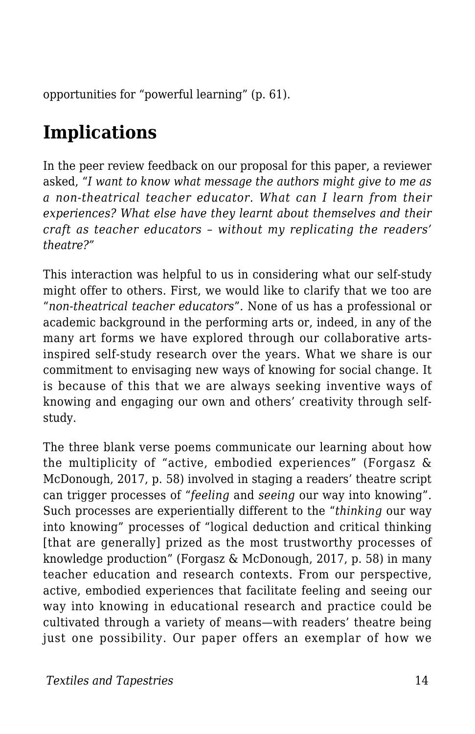opportunities for "powerful learning" (p. 61).

# **Implications**

In the peer review feedback on our proposal for this paper, a reviewer asked, "*I want to know what message the authors might give to me as a non-theatrical teacher educator. What can I learn from their experiences? What else have they learnt about themselves and their craft as teacher educators – without my replicating the readers' theatre?"*

This interaction was helpful to us in considering what our self-study might offer to others. First, we would like to clarify that we too are "*non-theatrical teacher educators*"*.* None of us has a professional or academic background in the performing arts or, indeed, in any of the many art forms we have explored through our collaborative artsinspired self-study research over the years. What we share is our commitment to envisaging new ways of knowing for social change. It is because of this that we are always seeking inventive ways of knowing and engaging our own and others' creativity through selfstudy.

The three blank verse poems communicate our learning about how the multiplicity of "active, embodied experiences" (Forgasz & McDonough, 2017, p. 58) involved in staging a readers' theatre script can trigger processes of "*feeling* and *seeing* our way into knowing". Such processes are experientially different to the "*thinking* our way into knowing" processes of "logical deduction and critical thinking [that are generally] prized as the most trustworthy processes of knowledge production" (Forgasz & McDonough, 2017, p. 58) in many teacher education and research contexts. From our perspective, active, embodied experiences that facilitate feeling and seeing our way into knowing in educational research and practice could be cultivated through a variety of means—with readers' theatre being just one possibility. Our paper offers an exemplar of how we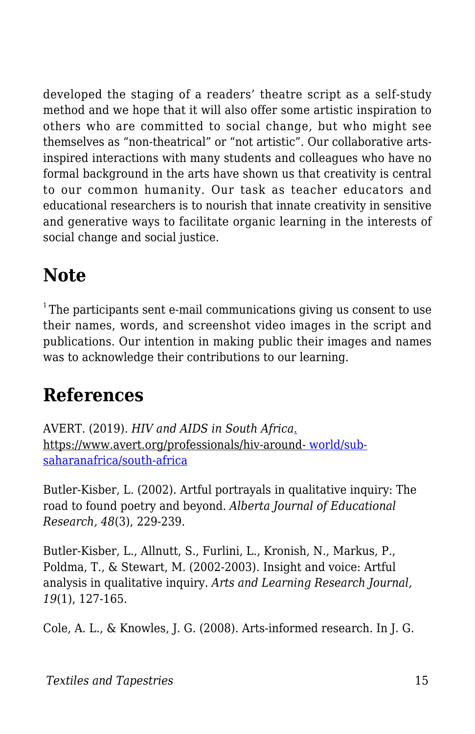developed the staging of a readers' theatre script as a self-study method and we hope that it will also offer some artistic inspiration to others who are committed to social change, but who might see themselves as "non-theatrical" or "not artistic". Our collaborative artsinspired interactions with many students and colleagues who have no formal background in the arts have shown us that creativity is central to our common humanity. Our task as teacher educators and educational researchers is to nourish that innate creativity in sensitive and generative ways to facilitate organic learning in the interests of social change and social justice.

# **Note**

 $1$ <sup>1</sup>The participants sent e-mail communications giving us consent to use their names, words, and screenshot video images in the script and publications. Our intention in making public their images and names was to acknowledge their contributions to our learning.

# **References**

AVERT. (2019). *HIV and AIDS in South Africa*[.](https://www.avert.org/professionals/hiv-around-world/sub-saharan-africa/south-africa) https://www.avert.org/professionals/hiv-around[-](https://www.avert.org/professionals/hiv-around-world/sub-saharan-africa/south-africa) [world/sub](https://www.avert.org/professionals/hiv-around-world/sub-saharan-africa/south-africa)[saharanafrica/south-africa](https://www.avert.org/professionals/hiv-around-world/sub-saharan-africa/south-africa)

Butler-Kisber, L. (2002). Artful portrayals in qualitative inquiry: The road to found poetry and beyond. *Alberta Journal of Educational Research, 48*(3), 229-239.

Butler-Kisber, L., Allnutt, S., Furlini, L., Kronish, N., Markus, P., Poldma, T., & Stewart, M. (2002-2003). Insight and voice: Artful analysis in qualitative inquiry. *Arts and Learning Research Journal, 19*(1), 127-165.

Cole, A. L., & Knowles, J. G. (2008). Arts-informed research. In J. G.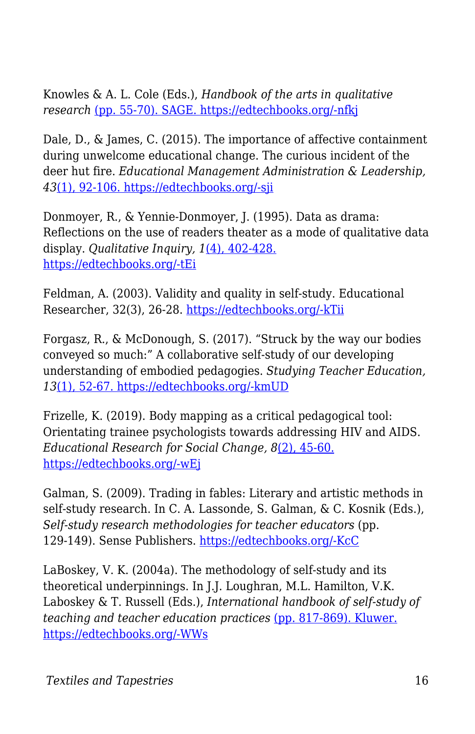Knowles & A. L. Cole (Eds.), *Handbook of the arts in qualitative research* [\(pp. 55-70\). SAGE. https://edtechbooks.org/-nfkj](https://doi.org/10.4135/9781452226545.n5)

Dale, D., & James, C. (2015). The importance of affective containment during unwelcome educational change. The curious incident of the deer hut fire. *Educational Management Administration & Leadership, 43*[\(1\), 92-106. https://edtechbooks.org/-sji](https://doi.org/10.1177/1741143213494885)

Donmoyer, R., & Yennie-Donmoyer, J. (1995). Data as drama: Reflections on the use of readers theater as a mode of qualitative data display. *Qualitative Inquiry, 1*[\(4\), 402-428.](https://doi.org/10.1177/107780049500100403) [https://edtechbooks.org/-tEi](https://doi.org/10.1177/107780049500100403)

Feldman, A. (2003). Validity and quality in self-study. Educational Researcher, 32(3), 26-28. [https://edtechbooks.org/-kTii](https://doi.org/10.3102/0013189X032003026)

Forgasz, R., & McDonough, S. (2017). "Struck by the way our bodies conveyed so much:" A collaborative self-study of our developing understanding of embodied pedagogies. *Studying Teacher Education, 13*[\(1\), 52-67. https://edtechbooks.org/-kmUD](https://doi.org/10.1080/17425964.2017.1286576)

Frizelle, K. (2019). Body mapping as a critical pedagogical tool: Orientating trainee psychologists towards addressing HIV and AIDS. *Educational Research for Social Change, 8*[\(2\), 45-60.](https://doi.org/10.17159/2221-4070/2019/v8i2a4) [https://edtechbooks.org/-wEj](https://doi.org/10.17159/2221-4070/2019/v8i2a4)

Galman, S. (2009). Trading in fables: Literary and artistic methods in self-study research. In C. A. Lassonde, S. Galman, & C. Kosnik (Eds.), *Self-study research methodologies for teacher educators* (pp. 129-149). Sense Publishers. [https://edtechbooks.org/-KcC](https://doi.org/10.1163/9789087906900_009)

LaBoskey, V. K. (2004a). The methodology of self-study and its theoretical underpinnings. In J.J. Loughran, M.L. Hamilton, V.K. Laboskey & T. Russell (Eds.), *International handbook of self-study of teaching and teacher education practices* [\(pp. 817-869\). Kluwer.](https://doi.org/10.1007/978-1-4020-6545-3_21) [https://edtechbooks.org/-WWs](https://doi.org/10.1007/978-1-4020-6545-3_21)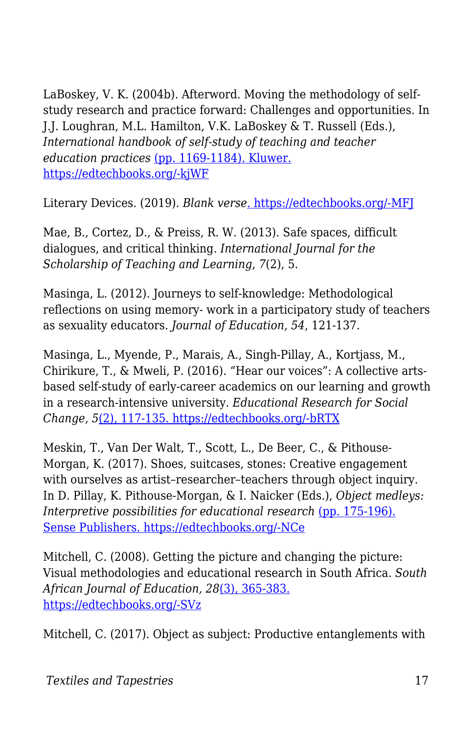LaBoskey, V. K. (2004b). Afterword. Moving the methodology of selfstudy research and practice forward: Challenges and opportunities. In J.J. Loughran, M.L. Hamilton, V.K. LaBoskey & T. Russell (Eds.), *International handbook of self-study of teaching and teacher education practices* [\(pp. 1169-1184\). Kluwer.](https://doi.org/10.1007/978-1-4020-6545-3_29) [https://edtechbooks.org/-kjWF](https://doi.org/10.1007/978-1-4020-6545-3_29)

Literary Devices. (2019). *Blank verse*[. https://edtechbooks.org/-MFJ](https://literarydevices.net/blank-verse/)

Mae, B., Cortez, D., & Preiss, R. W. (2013). Safe spaces, difficult dialogues, and critical thinking. *International Journal for the Scholarship of Teaching and Learning*, *7*(2), 5.

Masinga, L. (2012). Journeys to self-knowledge: Methodological reflections on using memory- work in a participatory study of teachers as sexuality educators. *Journal of Education, 54*, 121-137.

Masinga, L., Myende, P., Marais, A., Singh-Pillay, A., Kortjass, M., Chirikure, T., & Mweli, P. (2016). "Hear our voices": A collective artsbased self-study of early-career academics on our learning and growth in a research-intensive university. *Educational Research for Social Change, 5*[\(2\), 117-135. https://edtechbooks.org/-bRTX](https://doi.org/10.17159/2221-4070/2016/v5i2a8)

Meskin, T., Van Der Walt, T., Scott, L., De Beer, C., & Pithouse-Morgan, K. (2017). Shoes, suitcases, stones: Creative engagement with ourselves as artist–researcher–teachers through object inquiry. In D. Pillay, K. Pithouse-Morgan, & I. Naicker (Eds.), *Object medleys: Interpretive possibilities for educational research [\(pp. 175-196\).](https://doi.org/10.1007/978-94-6351-194-0_12)* [Sense Publishers. https://edtechbooks.org/-NCe](https://doi.org/10.1007/978-94-6351-194-0_12)

Mitchell, C. (2008). Getting the picture and changing the picture: Visual methodologies and educational research in South Africa. *South African Journal of Education, 28*[\(3\), 365-383.](https://doi.org/10.15700/saje.v28n3a180) [https://edtechbooks.org/-SVz](https://doi.org/10.15700/saje.v28n3a180)

Mitchell, C. (2017). Object as subject: Productive entanglements with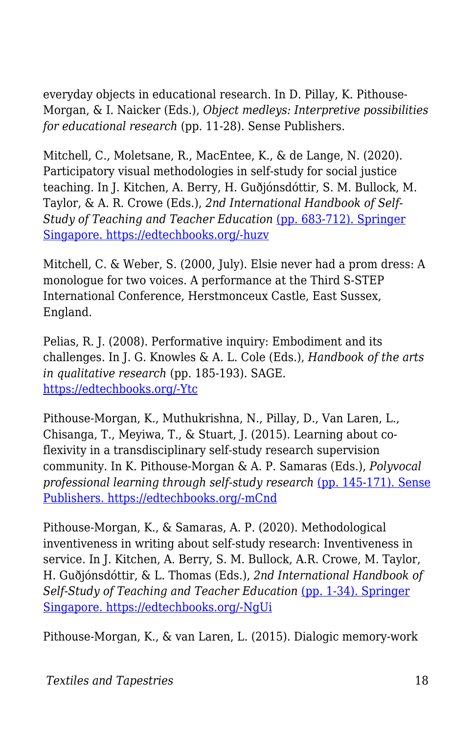everyday objects in educational research. In D. Pillay, K. Pithouse-Morgan, & I. Naicker (Eds.), *Object medleys: Interpretive possibilities for educational research* (pp. 11-28). Sense Publishers.

Mitchell, C., Moletsane, R., MacEntee, K., & de Lange, N. (2020). Participatory visual methodologies in self-study for social justice teaching. In J. Kitchen, A. Berry, H. Guðjónsdóttir, S. M. Bullock, M. Taylor, & A. R. Crowe (Eds.), *2nd International Handbook of Self-***Study of Teaching and Teacher Education [\(pp. 683-712\). Springer](https://doi.org/10.1007/978-981-13-1710-1_23-1)** [Singapore. https://edtechbooks.org/-huzv](https://doi.org/10.1007/978-981-13-1710-1_23-1)

Mitchell, C. & Weber, S. (2000, July). Elsie never had a prom dress: A monologue for two voices. A performance at the Third S-STEP International Conference, Herstmonceux Castle, East Sussex, England.

Pelias, R. J. (2008). Performative inquiry: Embodiment and its challenges. In J. G. Knowles & A. L. Cole (Eds.), *Handbook of the arts in qualitative research* (pp. 185-193). SAGE. [https://edtechbooks.org/-Ytc](https://doi.org/10.4135/9781452226545.n16)

Pithouse-Morgan, K., Muthukrishna, N., Pillay, D., Van Laren, L., Chisanga, T., Meyiwa, T., & Stuart, J. (2015). Learning about coflexivity in a transdisciplinary self-study research supervision community. In K. Pithouse-Morgan & A. P. Samaras (Eds.), *Polyvocal* professional learning through self-study research [\(pp. 145-171\). Sense](https://doi.org/10.1007/978-94-6300-220-2_9) [Publishers. https://edtechbooks.org/-mCnd](https://doi.org/10.1007/978-94-6300-220-2_9)

Pithouse-Morgan, K., & Samaras, A. P. (2020). Methodological inventiveness in writing about self-study research: Inventiveness in service. In J. Kitchen, A. Berry, S. M. Bullock, A.R. Crowe, M. Taylor, H. Guðjónsdóttir, & L. Thomas (Eds.), *2nd International Handbook of Self-Study of Teaching and Teacher Education* [\(pp. 1-34\). Springer](https://doi.org/10.1007/978-981-13-1710-1_13-1) [Singapore. https://edtechbooks.org/-NgUi](https://doi.org/10.1007/978-981-13-1710-1_13-1)

Pithouse-Morgan, K., & van Laren, L. (2015). Dialogic memory-work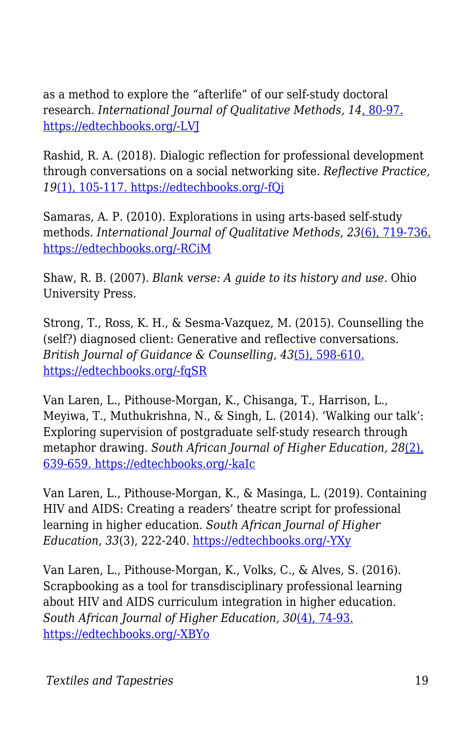as a method to explore the "afterlife" of our self-study doctoral research. *International Journal of Qualitative Methods, 14*[, 80-97.](https://doi.org/10.1177/160940691501400108) [https://edtechbooks.org/-LVJ](https://doi.org/10.1177/160940691501400108)

Rashid, R. A. (2018). Dialogic reflection for professional development through conversations on a social networking site. *Reflective Practice, 19*[\(1\), 105-117. https://edtechbooks.org/-fQj](https://doi.org/10.1080/14623943.2017.1379385)

Samaras, A. P. (2010). Explorations in using arts-based self-study methods. *International Journal of Qualitative Methods, 23*[\(6\), 719-736.](https://doi.org/10.1080/09518390903426212) [https://edtechbooks.org/-RCiM](https://doi.org/10.1080/09518390903426212)

Shaw, R. B. (2007). *Blank verse: A guide to its history and use*. Ohio University Press.

Strong, T., Ross, K. H., & Sesma-Vazquez, M. (2015). Counselling the (self?) diagnosed client: Generative and reflective conversations. *British Journal of Guidance & Counselling*, *43*[\(5\), 598-610.](https://doi.org/10.1080/03069885.2014.996736) [https://edtechbooks.org/-fqSR](https://doi.org/10.1080/03069885.2014.996736)

Van Laren, L., Pithouse-Morgan, K., Chisanga, T., Harrison, L., Meyiwa, T., Muthukrishna, N., & Singh, L. (2014). 'Walking our talk': Exploring supervision of postgraduate self-study research through metaphor drawing. *South African Journal of Higher Education, 28*[\(2\),](https://doi.org/10.20853/28-2-346) [639-659. https://edtechbooks.org/-kaIc](https://doi.org/10.20853/28-2-346)

Van Laren, L., Pithouse-Morgan, K., & Masinga, L. (2019). Containing HIV and AIDS: Creating a readers' theatre script for professional learning in higher education. *South African Journal of Higher Education, 33*(3), 222-240. [https://edtechbooks.org/-YXy](https://doi.org/10.20853/33-3-2964)

Van Laren, L., Pithouse-Morgan, K., Volks, C., & Alves, S. (2016). Scrapbooking as a tool for transdisciplinary professional learning about HIV and AIDS curriculum integration in higher education. *South African Journal of Higher Education, 30*[\(4\), 74-93.](https://doi.org/10.20853/30-4-674) [https://edtechbooks.org/-XBYo](https://doi.org/10.20853/30-4-674)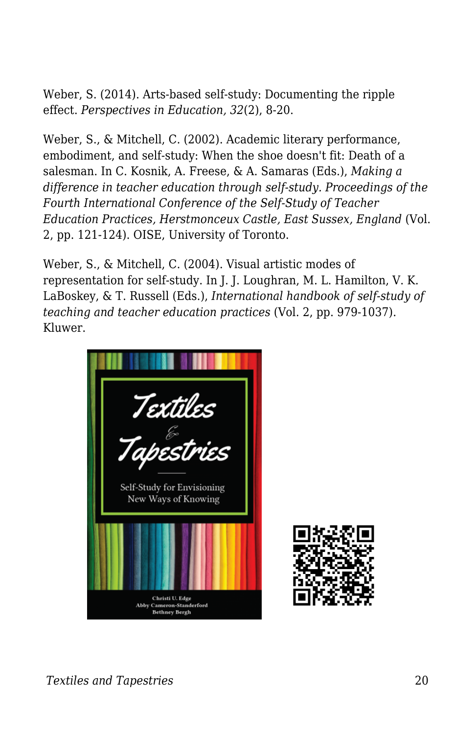Weber, S. (2014). Arts-based self-study: Documenting the ripple effect. *Perspectives in Education, 32*(2), 8-20.

Weber, S., & Mitchell, C. (2002). Academic literary performance, embodiment, and self-study: When the shoe doesn't fit: Death of a salesman. In C. Kosnik, A. Freese, & A. Samaras (Eds.), *Making a difference in teacher education through self-study. Proceedings of the Fourth International Conference of the Self-Study of Teacher Education Practices, Herstmonceux Castle, East Sussex, England* (Vol. 2, pp. 121-124). OISE, University of Toronto.

Weber, S., & Mitchell, C. (2004). Visual artistic modes of representation for self-study. In J. J. Loughran, M. L. Hamilton, V. K. LaBoskey, & T. Russell (Eds.), *International handbook of self-study of teaching and teacher education practices* (Vol. 2, pp. 979-1037). Kluwer.